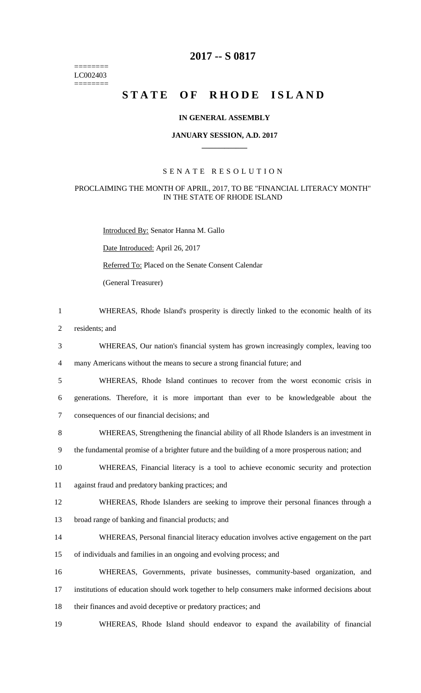======== LC002403 ========

# **2017 -- S 0817**

# STATE OF RHODE ISLAND

# **IN GENERAL ASSEMBLY**

#### **JANUARY SESSION, A.D. 2017 \_\_\_\_\_\_\_\_\_\_\_\_**

# S E N A T E R E S O L U T I O N

# PROCLAIMING THE MONTH OF APRIL, 2017, TO BE "FINANCIAL LITERACY MONTH" IN THE STATE OF RHODE ISLAND

Introduced By: Senator Hanna M. Gallo

Date Introduced: April 26, 2017

Referred To: Placed on the Senate Consent Calendar

(General Treasurer)

- 1 WHEREAS, Rhode Island's prosperity is directly linked to the economic health of its
- 2 residents; and
- 3 WHEREAS, Our nation's financial system has grown increasingly complex, leaving too

4 many Americans without the means to secure a strong financial future; and

- 5 WHEREAS, Rhode Island continues to recover from the worst economic crisis in 6 generations. Therefore, it is more important than ever to be knowledgeable about the 7 consequences of our financial decisions; and
- 8 WHEREAS, Strengthening the financial ability of all Rhode Islanders is an investment in
- 9 the fundamental promise of a brighter future and the building of a more prosperous nation; and
- 10 WHEREAS, Financial literacy is a tool to achieve economic security and protection
- 11 against fraud and predatory banking practices; and
- 12 WHEREAS, Rhode Islanders are seeking to improve their personal finances through a
- 13 broad range of banking and financial products; and
- 14 WHEREAS, Personal financial literacy education involves active engagement on the part 15 of individuals and families in an ongoing and evolving process; and
- 16 WHEREAS, Governments, private businesses, community-based organization, and 17 institutions of education should work together to help consumers make informed decisions about 18 their finances and avoid deceptive or predatory practices; and
- 19 WHEREAS, Rhode Island should endeavor to expand the availability of financial